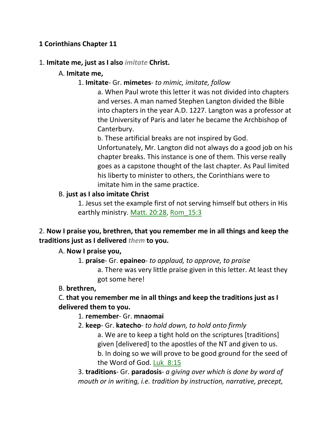# **1 Corinthians Chapter 11**

#### 1. **Imitate me, just as I also** *imitate* **Christ.**

# A. **Imitate me,**

### 1. **Imitate**- Gr. **mimetes**- *to mimic, imitate, follow*

a. When Paul wrote this letter it was not divided into chapters and verses. A man named Stephen Langton divided the Bible into chapters in the year A.D. 1227. Langton was a professor at the University of Paris and later he became the Archbishop of Canterbury.

b. These artificial breaks are not inspired by God. Unfortunately, Mr. Langton did not always do a good job on his chapter breaks. This instance is one of them. This verse really goes as a capstone thought of the last chapter. As Paul limited his liberty to minister to others, the Corinthians were to imitate him in the same practice.

#### B. **just as I also imitate Christ**

1. Jesus set the example first of not serving himself but others in His earthly ministry. Matt. 20:28, Rom\_15:3

# 2. **Now I praise you, brethren, that you remember me in all things and keep the traditions just as I delivered** *them* **to you.**

#### A. **Now I praise you,**

- 1. **praise** Gr. **epaineo** *to applaud, to approve, to praise*
	- a. There was very little praise given in this letter. At least they got some here!

# B. **brethren,**

# C. **that you remember me in all things and keep the traditions just as I delivered them to you.**

# 1. **remember**- Gr. **mnaomai**

2. **keep**- Gr. **katecho**- *to hold down, to hold onto firmly*

a. We are to keep a tight hold on the scriptures [traditions] given [delivered] to the apostles of the NT and given to us. b. In doing so we will prove to be good ground for the seed of the Word of God. Luk\_8:15

3. **traditions**- Gr. **paradosis**- *a giving over which is done by word of mouth or in writing, i.e. tradition by instruction, narrative, precept,*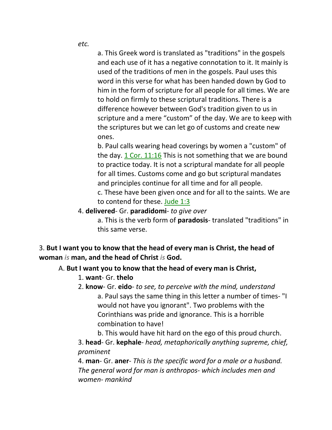*etc.*

a. This Greek word is translated as "traditions" in the gospels and each use of it has a negative connotation to it. It mainly is used of the traditions of men in the gospels. Paul uses this word in this verse for what has been handed down by God to him in the form of scripture for all people for all times. We are to hold on firmly to these scriptural traditions. There is a difference however between God's tradition given to us in scripture and a mere "custom" of the day. We are to keep with the scriptures but we can let go of customs and create new ones.

b. Paul calls wearing head coverings by women a "custom" of the day. 1 Cor. 11:16 This is not something that we are bound to practice today. It is not a scriptural mandate for all people for all times. Customs come and go but scriptural mandates and principles continue for all time and for all people.

c. These have been given once and for all to the saints. We are to contend for these. Jude 1:3

4. **delivered**- Gr. **paradidomi**- *to give over*

a. This is the verb form of **paradosis**- translated "traditions" in this same verse.

3. **But I want you to know that the head of every man is Christ, the head of woman** *is* **man, and the head of Christ** *is* **God.** 

# A. **But I want you to know that the head of every man is Christ,**

- 1. **want** Gr. **thelo**
- 2. **know** Gr. **eido** *to see, to perceive with the mind, understand* a. Paul says the same thing in this letter a number of times- "I would not have you ignorant". Two problems with the Corinthians was pride and ignorance. This is a horrible combination to have!
	- b. This would have hit hard on the ego of this proud church.

3. **head**- Gr. **kephale**- *head, metaphorically anything supreme, chief, prominent*

4. **man**- Gr. **aner**- *This is the specific word for a male or a husband. The general word for man is anthropos- which includes men and women- mankind*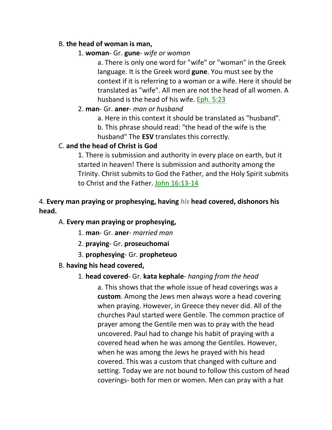# B. **the head of woman is man,**

1. **woman**- Gr. **gune**- *wife or woman*

a. There is only one word for "wife" or "woman" in the Greek language. It is the Greek word **gune**. You must see by the context if it is referring to a woman or a wife. Here it should be translated as "wife". All men are not the head of all women. A husband is the head of his wife. Eph. 5:23

# 2. **man**- Gr. **aner**- *man or husband*

a. Here in this context it should be translated as "husband". b. This phrase should read: "the head of the wife is the husband" The **ESV** translates this correctly.

# C. **and the head of Christ is God**

1. There is submission and authority in every place on earth, but it started in heaven! There is submission and authority among the Trinity. Christ submits to God the Father, and the Holy Spirit submits to Christ and the Father. John 16:13-14

# 4. **Every man praying or prophesying, having** *his* **head covered, dishonors his head.**

# A. **Every man praying or prophesying,**

- 1. **man** Gr. **aner** *married man*
- 2. **praying** Gr. **proseuchomai**
- 3. **prophesying** Gr. **propheteuo**

# B. **having his head covered,**

# 1. **head covered**- Gr. **kata kephale**- *hanging from the head*

a. This shows that the whole issue of head coverings was a **custom**. Among the Jews men always wore a head covering when praying. However, in Greece they never did. All of the churches Paul started were Gentile. The common practice of prayer among the Gentile men was to pray with the head uncovered. Paul had to change his habit of praying with a covered head when he was among the Gentiles. However, when he was among the Jews he prayed with his head covered. This was a custom that changed with culture and setting. Today we are not bound to follow this custom of head coverings- both for men or women. Men can pray with a hat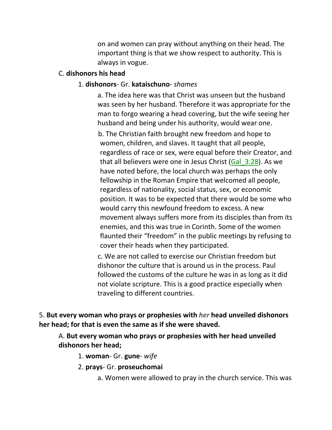on and women can pray without anything on their head. The important thing is that we show respect to authority. This is always in vogue.

#### C. **dishonors his head**

#### 1. **dishonors**- Gr. **kataischuno**- *shames*

a. The idea here was that Christ was unseen but the husband was seen by her husband. Therefore it was appropriate for the man to forgo wearing a head covering, but the wife seeing her husband and being under his authority, would wear one.

 b. The Christian faith brought new freedom and hope to women, children, and slaves. It taught that all people, regardless of race or sex, were equal before their Creator, and that all believers were one in Jesus Christ  $(Gal<sub>3</sub>:28)$ . As we have noted before, the local church was perhaps the only fellowship in the Roman Empire that welcomed all people, regardless of nationality, social status, sex, or economic position. It was to be expected that there would be some who would carry this newfound freedom to excess. A new movement always suffers more from its disciples than from its enemies, and this was true in Corinth. Some of the women flaunted their "freedom" in the public meetings by refusing to cover their heads when they participated.

 c. We are not called to exercise our Christian freedom but dishonor the culture that is around us in the process. Paul followed the customs of the culture he was in as long as it did not violate scripture. This is a good practice especially when traveling to different countries.

5. **But every woman who prays or prophesies with** *her* **head unveiled dishonors her head; for that is even the same as if she were shaved.**

A. **But every woman who prays or prophesies with her head unveiled dishonors her head;**

1. **woman**- Gr. **gune**- *wife*

2. **prays**- Gr. **proseuchomai**

a. Women were allowed to pray in the church service. This was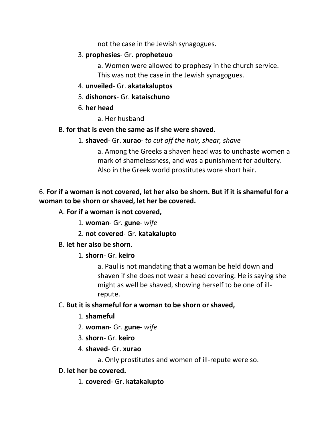not the case in the Jewish synagogues.

# 3. **prophesies**- Gr. **propheteuo**

a. Women were allowed to prophesy in the church service. This was not the case in the Jewish synagogues.

- 4. **unveiled** Gr. **akatakaluptos**
- 5. **dishonors** Gr. **kataischuno**
- 6. **her head**

a. Her husband

#### B. **for that is even the same as if she were shaved.**

1. **shaved**- Gr. **xurao**- *to cut off the hair, shear, shave*

a. Among the Greeks a shaven head was to unchaste women a mark of shamelessness, and was a punishment for adultery. Also in the Greek world prostitutes wore short hair.

# 6. **For if a woman is not covered, let her also be shorn. But if it is shameful for a woman to be shorn or shaved, let her be covered.**

# A. **For if a woman is not covered,**

- 1. **woman** Gr. **gune** *wife*
- 2. **not covered** Gr. **katakalupto**

# B. **let her also be shorn.**

# 1. **shorn**- Gr. **keiro**

a. Paul is not mandating that a woman be held down and shaven if she does not wear a head covering. He is saying she might as well be shaved, showing herself to be one of illrepute.

# C. **But it is shameful for a woman to be shorn or shaved,**

- 1. **shameful**
- 2. **woman** Gr. **gune** *wife*
- 3. **shorn** Gr. **keiro**

# 4. **shaved**- Gr. **xurao**

a. Only prostitutes and women of ill-repute were so.

# D. **let her be covered.**

# 1. **covered**- Gr. **katakalupto**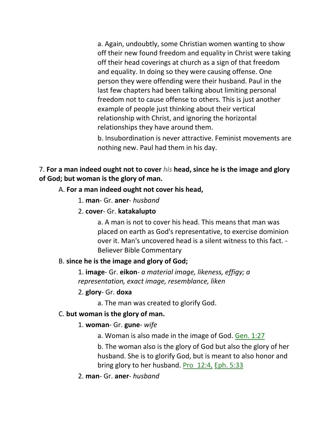a. Again, undoubtly, some Christian women wanting to show off their new found freedom and equality in Christ were taking off their head coverings at church as a sign of that freedom and equality. In doing so they were causing offense. One person they were offending were their husband. Paul in the last few chapters had been talking about limiting personal freedom not to cause offense to others. This is just another example of people just thinking about their vertical relationship with Christ, and ignoring the horizontal relationships they have around them.

b. Insubordination is never attractive. Feminist movements are nothing new. Paul had them in his day.

7. **For a man indeed ought not to cover** *his* **head, since he is the image and glory of God; but woman is the glory of man.** 

#### A. **For a man indeed ought not cover his head,**

- 1. **man** Gr. **aner** *husband*
- 2. **cover** Gr. **katakalupto**

a. A man is not to cover his head. This means that man was placed on earth as God's representative, to exercise dominion over it. Man's uncovered head is a silent witness to this fact. - Believer Bible Commentary

#### B. **since he is the image and glory of God;**

1. **image**- Gr. **eikon**- *a material image, likeness, effigy; a representation, exact image, resemblance, liken*

#### 2. **glory**- Gr. **doxa**

a. The man was created to glorify God.

#### C. **but woman is the glory of man.**

#### 1. **woman**- Gr. **gune**- *wife*

a. Woman is also made in the image of God. Gen. 1:27

b. The woman also is the glory of God but also the glory of her husband. She is to glorify God, but is meant to also honor and bring glory to her husband. Pro\_12:4, Eph. 5:33

2. **man**- Gr. **aner**- *husband*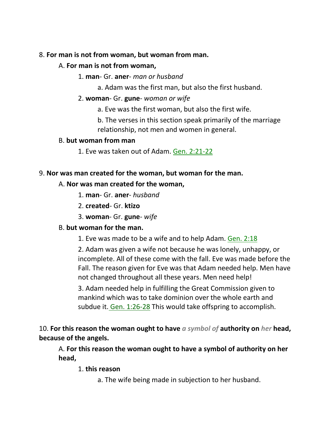# 8. **For man is not from woman, but woman from man.**

# A. **For man is not from woman,**

# 1. **man**- Gr. **aner**- *man or husband*

a. Adam was the first man, but also the first husband.

# 2. **woman**- Gr. **gune**- *woman or wife*

a. Eve was the first woman, but also the first wife.

b. The verses in this section speak primarily of the marriage relationship, not men and women in general.

# B. **but woman from man**

1. Eve was taken out of Adam. Gen. 2:21-22

# 9. **Nor was man created for the woman, but woman for the man.**

# A. **Nor was man created for the woman,**

- 1. **man** Gr. **aner** *husband*
- 2. **created** Gr. **ktizo**
- 3. **woman** Gr. **gune** *wife*

# B. **but woman for the man.**

1. Eve was made to be a wife and to help Adam. Gen. 2:18

2. Adam was given a wife not because he was lonely, unhappy, or incomplete. All of these come with the fall. Eve was made before the Fall. The reason given for Eve was that Adam needed help. Men have not changed throughout all these years. Men need help!

3. Adam needed help in fulfilling the Great Commission given to mankind which was to take dominion over the whole earth and subdue it. Gen. 1:26-28 This would take offspring to accomplish.

10. **For this reason the woman ought to have** *a symbol of* **authority on** *her* **head, because of the angels.** 

A. **For this reason the woman ought to have a symbol of authority on her head,**

# 1. **this reason**

a. The wife being made in subjection to her husband.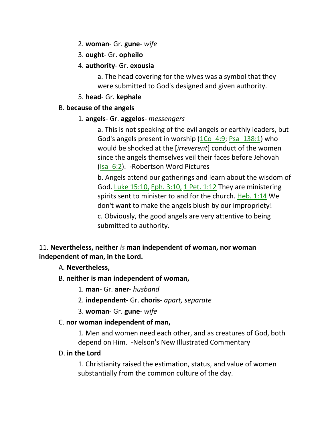- 2. **woman** Gr. **gune** *wife*
- 3. **ought** Gr. **opheilo**
- 4. **authority** Gr. **exousia**

a. The head covering for the wives was a symbol that they were submitted to God's designed and given authority.

# 5. **head**- Gr. **kephale**

# B. **because of the angels**

1. **angels**- Gr. **aggelos**- *messengers*

a. This is not speaking of the evil angels or earthly leaders, but God's angels present in worship  $(1)$ Co  $(4:9)$ ; Psa  $(138:1)$  who would be shocked at the [*irreverent*] conduct of the women since the angels themselves veil their faces before Jehovah (Isa\_6:2). -Robertson Word Pictures

b. Angels attend our gatherings and learn about the wisdom of God. Luke 15:10, Eph. 3:10, 1 Pet. 1:12 They are ministering spirits sent to minister to and for the church. Heb.  $1:14$  We don't want to make the angels blush by our impropriety!

c. Obviously, the good angels are very attentive to being submitted to authority.

# 11. **Nevertheless, neither** *is* **man independent of woman, nor woman independent of man, in the Lord.**

# A. **Nevertheless,**

B. **neither is man independent of woman,**

1. **man**- Gr. **aner**- *husband*

- 2. **independent-** Gr. **choris** *apart, separate*
- 3. **woman** Gr. **gune** *wife*

# C. **nor woman independent of man,**

1. Men and women need each other, and as creatures of God, both depend on Him. -Nelson's New Illustrated Commentary

# D. **in the Lord**

1. Christianity raised the estimation, status, and value of women substantially from the common culture of the day.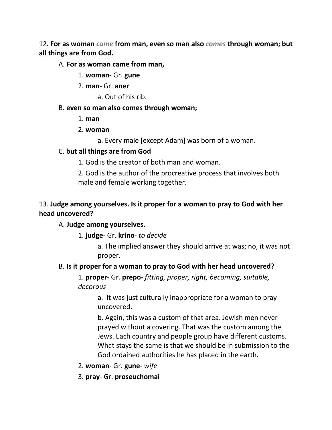12. **For as woman** *came* **from man, even so man also** *comes* **through woman; but all things are from God.**

A. **For as woman came from man,**

- 1. **woman** Gr. **gune**
- 2. **man** Gr. **aner**
	- a. Out of his rib.
- B. **even so man also comes through woman;**
	- 1. **man**
	- 2. **woman**
		- a. Every male [except Adam] was born of a woman.

#### C. **but all things are from God**

- 1. God is the creator of both man and woman.
- 2. God is the author of the procreative process that involves both male and female working together.

# 13. **Judge among yourselves. Is it proper for a woman to pray to God with her head uncovered?**

# A. **Judge among yourselves.**

1. **judge**- Gr. **krino**- *to decide*

a. The implied answer they should arrive at was; no, it was not proper.

# B. **Is it proper for a woman to pray to God with her head uncovered?**

1. **proper**- Gr. **prepo**- *fitting, proper, right, becoming, suitable, decorous*

> a. It was just culturally inappropriate for a woman to pray uncovered.

b. Again, this was a custom of that area. Jewish men never prayed without a covering. That was the custom among the Jews. Each country and people group have different customs. What stays the same is that we should be in submission to the God ordained authorities he has placed in the earth.

- 2. **woman** Gr. **gune** *wife*
- 3. **pray** Gr. **proseuchomai**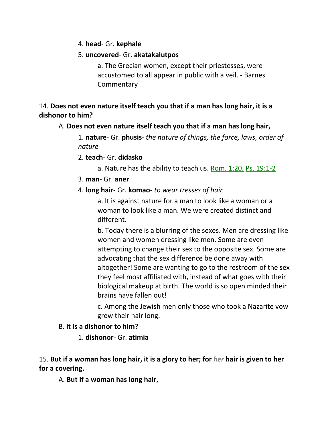4. **head**- Gr. **kephale**

# 5. **uncovered**- Gr. **akatakalutpos**

a. The Grecian women, except their priestesses, were accustomed to all appear in public with a veil. - Barnes **Commentary** 

14. **Does not even nature itself teach you that if a man has long hair, it is a dishonor to him?** 

# A. **Does not even nature itself teach you that if a man has long hair,**

1. **nature**- Gr. **phusis**- *the nature of things, the force, laws, order of nature*

- 2. **teach** Gr. **didasko**
	- a. Nature has the ability to teach us. Rom. 1:20, Ps. 19:1-2
- 3. **man** Gr. **aner**

# 4. **long hair**- Gr. **komao**- *to wear tresses of hair*

a. It is against nature for a man to look like a woman or a woman to look like a man. We were created distinct and different.

b. Today there is a blurring of the sexes. Men are dressing like women and women dressing like men. Some are even attempting to change their sex to the opposite sex. Some are advocating that the sex difference be done away with altogether! Some are wanting to go to the restroom of the sex they feel most affiliated with, instead of what goes with their biological makeup at birth. The world is so open minded their brains have fallen out!

c. Among the Jewish men only those who took a Nazarite vow grew their hair long.

# B. **it is a dishonor to him?**

1. **dishonor**- Gr. **atimia**

15. **But if a woman has long hair, it is a glory to her; for** *her* **hair is given to her for a covering.** 

A. **But if a woman has long hair,**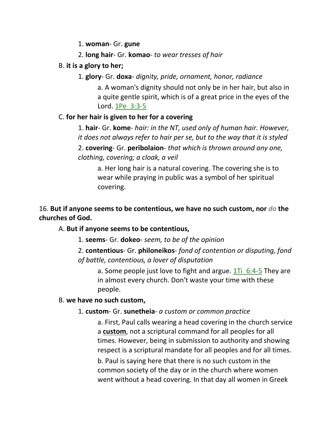1. **woman**- Gr. **gune**

2. **long hair**- Gr. **komao**- *to wear tresses of hair*

B. **it is a glory to her;**

1. **glory**- Gr. **doxa**- *dignity, pride, ornament, honor, radiance*

a. A woman's dignity should not only be in her hair, but also in a quite gentle spirit, which is of a great price in the eyes of the Lord. 1Pe\_3:3-5

# C. **for her hair is given to her for a covering**

1. **hair**- Gr. **kome**- *hair: in the NT, used only of human hair. However, it does not always refer to hair per se, but to the way that it is styled*

2. **covering**- Gr. **peribolaion**- *that which is thrown around any one, clothing, covering; a cloak, a veil*

a. Her long hair is a natural covering. The covering she is to wear while praying in public was a symbol of her spiritual covering.

# 16. **But if anyone seems to be contentious, we have no such custom, nor** *do* **the churches of God.**

# A. **But if anyone seems to be contentious,**

1. **seems**- Gr. **dokeo**- *seem, to be of the opinion*

2. **contentious**- Gr. **philoneikos**- *fond of contention or disputing, fond of battle, contentious, a lover of disputation*

a. Some people just love to fight and argue.  $1Ti$   $6:4-5$  They are in almost every church. Don't waste your time with these people.

# B. **we have no such custom,**

# 1. **custom**- Gr. **sunetheia**- *a custom or common practice*

a. First, Paul calls wearing a head covering in the church service a **custom**, not a scriptural command for all peoples for all times. However, being in submission to authority and showing respect is a scriptural mandate for all peoples and for all times.

b. Paul is saying here that there is no such custom in the common society of the day or in the church where women went without a head covering. In that day all women in Greek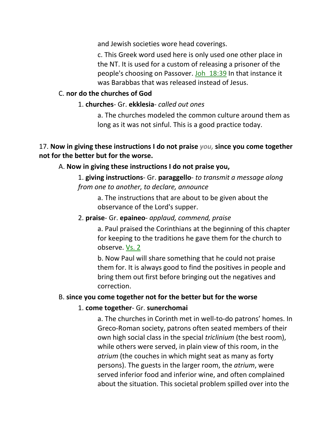and Jewish societies wore head coverings.

c. This Greek word used here is only used one other place in the NT. It is used for a custom of releasing a prisoner of the people's choosing on Passover. Joh\_18:39 In that instance it was Barabbas that was released instead of Jesus.

# C. **nor do the churches of God**

# 1. **churches**- Gr. **ekklesia**- *called out ones*

a. The churches modeled the common culture around them as long as it was not sinful. This is a good practice today.

# 17. **Now in giving these instructions I do not praise** *you,* **since you come together not for the better but for the worse.**

# A. **Now in giving these instructions I do not praise you,**

1. **giving instructions**- Gr. **paraggello**- *to transmit a message along from one to another, to declare, announce*

a. The instructions that are about to be given about the observance of the Lord's supper.

#### 2. **praise**- Gr. **epaineo**- *applaud, commend, praise*

a. Paul praised the Corinthians at the beginning of this chapter for keeping to the traditions he gave them for the church to observe. Vs. 2

b. Now Paul will share something that he could not praise them for. It is always good to find the positives in people and bring them out first before bringing out the negatives and correction.

# B. **since you come together not for the better but for the worse**

# 1. **come together**- Gr. **sunerchomai**

a. The churches in Corinth met in well-to-do patrons' homes. In Greco-Roman society, patrons often seated members of their own high social class in the special *triclinium* (the best room), while others were served, in plain view of this room, in the *atrium* (the couches in which might seat as many as forty persons). The guests in the larger room, the *atrium*, were served inferior food and inferior wine, and often complained about the situation. This societal problem spilled over into the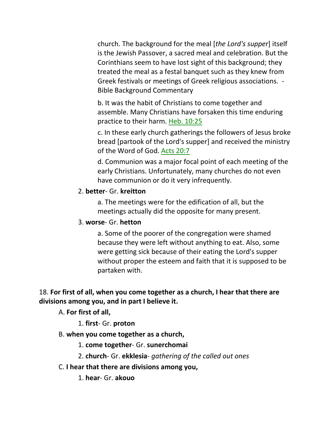church. The background for the meal [*the Lord's supper*] itself is the Jewish Passover, a sacred meal and celebration. But the Corinthians seem to have lost sight of this background; they treated the meal as a festal banquet such as they knew from Greek festivals or meetings of Greek religious associations. - Bible Background Commentary

b. It was the habit of Christians to come together and assemble. Many Christians have forsaken this time enduring practice to their harm. Heb. 10:25

c. In these early church gatherings the followers of Jesus broke bread [partook of the Lord's supper] and received the ministry of the Word of God. Acts 20:7

d. Communion was a major focal point of each meeting of the early Christians. Unfortunately, many churches do not even have communion or do it very infrequently.

#### 2. **better**- Gr. **kreitton**

a. The meetings were for the edification of all, but the meetings actually did the opposite for many present.

### 3. **worse**- Gr. **hetton**

a. Some of the poorer of the congregation were shamed because they were left without anything to eat. Also, some were getting sick because of their eating the Lord's supper without proper the esteem and faith that it is supposed to be partaken with.

# 18. **For first of all, when you come together as a church, I hear that there are divisions among you, and in part I believe it.**

A. **For first of all,**

1. **first**- Gr. **proton**

# B. **when you come together as a church,**

- 1. **come together** Gr. **sunerchomai**
- 2. **church** Gr. **ekklesia** *gathering of the called out ones*
- C. **I hear that there are divisions among you,**
	- 1. **hear** Gr. **akouo**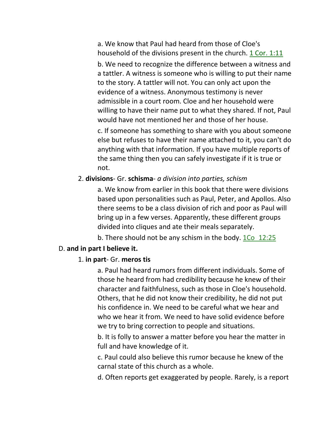a. We know that Paul had heard from those of Cloe's household of the divisions present in the church. 1 Cor. 1:11

b. We need to recognize the difference between a witness and a tattler. A witness is someone who is willing to put their name to the story. A tattler will not. You can only act upon the evidence of a witness. Anonymous testimony is never admissible in a court room. Cloe and her household were willing to have their name put to what they shared. If not, Paul would have not mentioned her and those of her house.

c. If someone has something to share with you about someone else but refuses to have their name attached to it, you can't do anything with that information. If you have multiple reports of the same thing then you can safely investigate if it is true or not.

#### 2. **divisions**- Gr. **schisma**- *a division into parties, schism*

a. We know from earlier in this book that there were divisions based upon personalities such as Paul, Peter, and Apollos. Also there seems to be a class division of rich and poor as Paul will bring up in a few verses. Apparently, these different groups divided into cliques and ate their meals separately.

b. There should not be any schism in the body. 1Co 12:25

#### D. **and in part I believe it.**

#### 1. **in part**- Gr. **meros tis**

a. Paul had heard rumors from different individuals. Some of those he heard from had credibility because he knew of their character and faithfulness, such as those in Cloe's household. Others, that he did not know their credibility, he did not put his confidence in. We need to be careful what we hear and who we hear it from. We need to have solid evidence before we try to bring correction to people and situations.

b. It is folly to answer a matter before you hear the matter in full and have knowledge of it.

c. Paul could also believe this rumor because he knew of the carnal state of this church as a whole.

d. Often reports get exaggerated by people. Rarely, is a report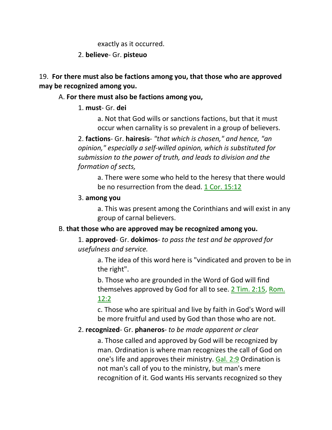exactly as it occurred.

#### 2. **believe**- Gr. **pisteuo**

# 19. **For there must also be factions among you, that those who are approved may be recognized among you.**

# A. **For there must also be factions among you,**

# 1. **must**- Gr. **dei**

a. Not that God wills or sanctions factions, but that it must occur when carnality is so prevalent in a group of believers.

2. **factions**- Gr. **hairesis**- *"that which is chosen," and hence, "an opinion," especially a self-willed opinion, which is substituted for submission to the power of truth, and leads to division and the formation of sects,*

a. There were some who held to the heresy that there would be no resurrection from the dead. 1 Cor. 15:12

#### 3. **among you**

a. This was present among the Corinthians and will exist in any group of carnal believers.

# B. **that those who are approved may be recognized among you.**

1. **approved**- Gr. **dokimos**- *to pass the test and be approved for usefulness and service.* 

a. The idea of this word here is "vindicated and proven to be in the right".

b. Those who are grounded in the Word of God will find themselves approved by God for all to see. 2 Tim. 2:15, Rom. 12:2

c. Those who are spiritual and live by faith in God's Word will be more fruitful and used by God than those who are not.

# 2. **recognized**- Gr. **phaneros**- *to be made apparent or clear*

a. Those called and approved by God will be recognized by man. Ordination is where man recognizes the call of God on one's life and approves their ministry. Gal. 2:9 Ordination is not man's call of you to the ministry, but man's mere recognition of it. God wants His servants recognized so they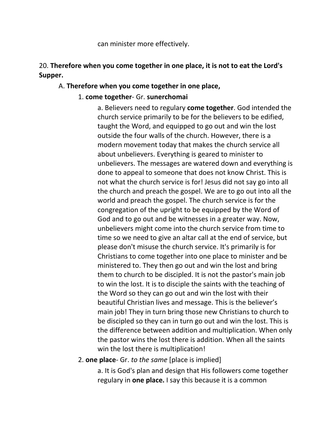can minister more effectively.

# 20. **Therefore when you come together in one place, it is not to eat the Lord's Supper.**

# A. **Therefore when you come together in one place,**

# 1. **come together**- Gr. **sunerchomai**

a. Believers need to regulary **come together**. God intended the church service primarily to be for the believers to be edified, taught the Word, and equipped to go out and win the lost outside the four walls of the church. However, there is a modern movement today that makes the church service all about unbelievers. Everything is geared to minister to unbelievers. The messages are watered down and everything is done to appeal to someone that does not know Christ. This is not what the church service is for! Jesus did not say go into all the church and preach the gospel. We are to go out into all the world and preach the gospel. The church service is for the congregation of the upright to be equipped by the Word of God and to go out and be witnesses in a greater way. Now, unbelievers might come into the church service from time to time so we need to give an altar call at the end of service, but please don't misuse the church service. It's primarily is for Christians to come together into one place to minister and be ministered to. They then go out and win the lost and bring them to church to be discipled. It is not the pastor's main job to win the lost. It is to disciple the saints with the teaching of the Word so they can go out and win the lost with their beautiful Christian lives and message. This is the believer's main job! They in turn bring those new Christians to church to be discipled so they can in turn go out and win the lost. This is the difference between addition and multiplication. When only the pastor wins the lost there is addition. When all the saints win the lost there is multiplication!

# 2. **one place**- Gr. *to the same* [place is implied]

a. It is God's plan and design that His followers come together regulary in **one place.** I say this because it is a common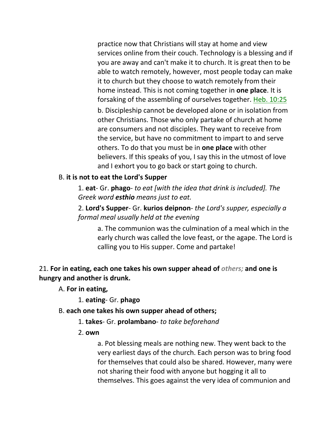practice now that Christians will stay at home and view services online from their couch. Technology is a blessing and if you are away and can't make it to church. It is great then to be able to watch remotely, however, most people today can make it to church but they choose to watch remotely from their home instead. This is not coming together in **one place**. It is forsaking of the assembling of ourselves together. Heb. 10:25 b. Discipleship cannot be developed alone or in isolation from other Christians. Those who only partake of church at home are consumers and not disciples. They want to receive from the service, but have no commitment to impart to and serve others. To do that you must be in **one place** with other believers. If this speaks of you, I say this in the utmost of love and I exhort you to go back or start going to church.

# B. **it is not to eat the Lord's Supper**

1. **eat**- Gr. **phago**- *to eat [with the idea that drink is included]. The Greek word esthio means just to eat.*

2. **Lord's Supper**- Gr. **kurios deipnon**- *the Lord's supper, especially a formal meal usually held at the evening*

a. The communion was the culmination of a meal which in the early church was called the love feast, or the agape. The Lord is calling you to His supper. Come and partake!

21. **For in eating, each one takes his own supper ahead of** *others;* **and one is hungry and another is drunk.** 

A. **For in eating,**

1. **eating**- Gr. **phago**

#### B. **each one takes his own supper ahead of others;**

- 1. **takes** Gr. **prolambano** *to take beforehand*
- 2. **own**

a. Pot blessing meals are nothing new. They went back to the very earliest days of the church. Each person was to bring food for themselves that could also be shared. However, many were not sharing their food with anyone but hogging it all to themselves. This goes against the very idea of communion and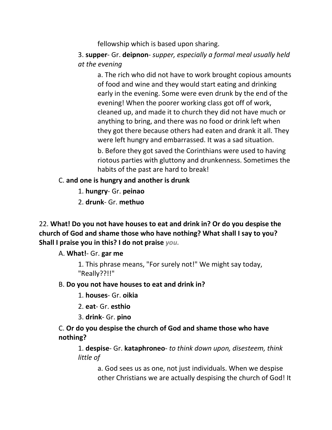fellowship which is based upon sharing.

3. **supper**- Gr. **deipnon**- *supper, especially a formal meal usually held at the evening*

a. The rich who did not have to work brought copious amounts of food and wine and they would start eating and drinking early in the evening. Some were even drunk by the end of the evening! When the poorer working class got off of work, cleaned up, and made it to church they did not have much or anything to bring, and there was no food or drink left when they got there because others had eaten and drank it all. They were left hungry and embarrassed. It was a sad situation.

b. Before they got saved the Corinthians were used to having riotous parties with gluttony and drunkenness. Sometimes the habits of the past are hard to break!

# C. **and one is hungry and another is drunk**

- 1. **hungry** Gr. **peinao**
- 2. **drunk** Gr. **methuo**

22. **What! Do you not have houses to eat and drink in? Or do you despise the church of God and shame those who have nothing? What shall I say to you? Shall I praise you in this? I do not praise** *you.*

# A. **What!**- Gr. **gar me**

1. This phrase means, "For surely not!" We might say today, "Really??!!"

# B. **Do you not have houses to eat and drink in?**

- 1. **houses** Gr. **oikia**
- 2. **eat** Gr. **esthio**
- 3. **drink** Gr. **pino**

# C. **Or do you despise the church of God and shame those who have nothing?**

1. **despise**- Gr. **kataphroneo**- *to think down upon, disesteem, think little of*

a. God sees us as one, not just individuals. When we despise other Christians we are actually despising the church of God! It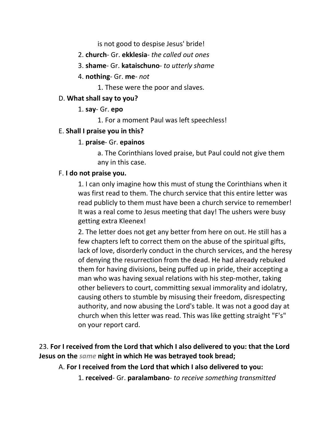is not good to despise Jesus' bride!

- 2. **church** Gr. **ekklesia** *the called out ones*
- 3. **shame** Gr. **kataischuno** *to utterly shame*
- 4. **nothing** Gr. **me** *not*
	- 1. These were the poor and slaves.

# D. **What shall say to you?**

- 1. **say** Gr. **epo**
	- 1. For a moment Paul was left speechless!

# E. **Shall I praise you in this?**

# 1. **praise**- Gr. **epainos**

a. The Corinthians loved praise, but Paul could not give them any in this case.

# F. **I do not praise you.**

1. I can only imagine how this must of stung the Corinthians when it was first read to them. The church service that this entire letter was read publicly to them must have been a church service to remember! It was a real come to Jesus meeting that day! The ushers were busy getting extra Kleenex!

2. The letter does not get any better from here on out. He still has a few chapters left to correct them on the abuse of the spiritual gifts, lack of love, disorderly conduct in the church services, and the heresy of denying the resurrection from the dead. He had already rebuked them for having divisions, being puffed up in pride, their accepting a man who was having sexual relations with his step-mother, taking other believers to court, committing sexual immorality and idolatry, causing others to stumble by misusing their freedom, disrespecting authority, and now abusing the Lord's table. It was not a good day at church when this letter was read. This was like getting straight "F's" on your report card.

23. **For I received from the Lord that which I also delivered to you: that the Lord Jesus on the** *same* **night in which He was betrayed took bread;** 

- A. **For I received from the Lord that which I also delivered to you:**
	- 1. **received** Gr. **paralambano** *to receive something transmitted*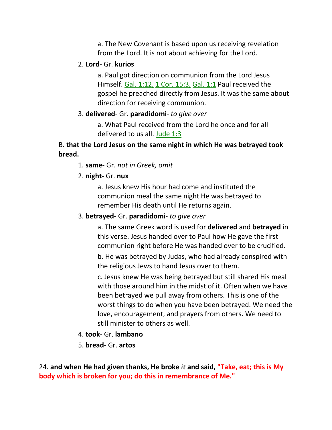a. The New Covenant is based upon us receiving revelation from the Lord. It is not about achieving for the Lord.

#### 2. **Lord**- Gr. **kurios**

a. Paul got direction on communion from the Lord Jesus Himself. Gal. 1:12, 1 Cor. 15:3, Gal. 1:1 Paul received the gospel he preached directly from Jesus. It was the same about direction for receiving communion.

#### 3. **delivered**- Gr. **paradidomi**- *to give over*

a. What Paul received from the Lord he once and for all delivered to us all. Jude 1:3

# B. **that the Lord Jesus on the same night in which He was betrayed took bread.**

- 1. **same** Gr. *not in Greek, omit*
- 2. **night** Gr. **nux**

a. Jesus knew His hour had come and instituted the communion meal the same night He was betrayed to remember His death until He returns again.

#### 3. **betrayed**- Gr. **paradidomi**- *to give over*

a. The same Greek word is used for **delivered** and **betrayed** in this verse. Jesus handed over to Paul how He gave the first communion right before He was handed over to be crucified.

b. He was betrayed by Judas, who had already conspired with the religious Jews to hand Jesus over to them.

c. Jesus knew He was being betrayed but still shared His meal with those around him in the midst of it. Often when we have been betrayed we pull away from others. This is one of the worst things to do when you have been betrayed. We need the love, encouragement, and prayers from others. We need to still minister to others as well.

- 4. **took** Gr. **lambano**
- 5. **bread** Gr. **artos**

24. **and when He had given thanks, He broke** *it* **and said, "Take, eat; this is My body which is broken for you; do this in remembrance of Me."**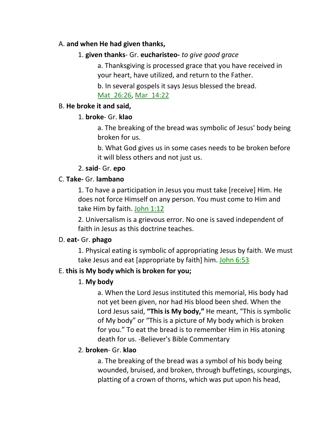# A. **and when He had given thanks,**

# 1. **given thanks**- Gr. **eucharisteo-** *to give good grace*

a. Thanksgiving is processed grace that you have received in your heart, have utilized, and return to the Father.

b. In several gospels it says Jesus blessed the bread. Mat 26:26, Mar 14:22

# B. **He broke it and said,**

# 1. **broke**- Gr. **klao**

a. The breaking of the bread was symbolic of Jesus' body being broken for us.

b. What God gives us in some cases needs to be broken before it will bless others and not just us.

# 2. **said**- Gr. **epo**

# C. **Take-** Gr. **lambano**

1. To have a participation in Jesus you must take [receive] Him. He does not force Himself on any person. You must come to Him and take Him by faith. John 1:12

2. Universalism is a grievous error. No one is saved independent of faith in Jesus as this doctrine teaches.

# D. **eat-** Gr. **phago**

1. Physical eating is symbolic of appropriating Jesus by faith. We must take Jesus and eat [appropriate by faith] him. John 6:53

# E. **this is My body which is broken for you;**

# 1. **My body**

a. When the Lord Jesus instituted this memorial, His body had not yet been given, nor had His blood been shed. When the Lord Jesus said, **"This is My body,"** He meant, "This is symbolic of My body" or "This is a picture of My body which is broken for you." To eat the bread is to remember Him in His atoning death for us. -Believer's Bible Commentary

# 2. **broken**- Gr. **klao**

a. The breaking of the bread was a symbol of his body being wounded, bruised, and broken, through buffetings, scourgings, platting of a crown of thorns, which was put upon his head,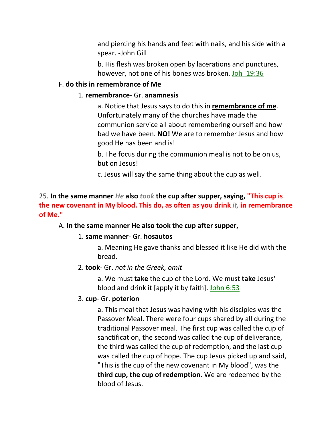and piercing his hands and feet with nails, and his side with a spear. -John Gill

b. His flesh was broken open by lacerations and punctures, however, not one of his bones was broken. Joh\_19:36

#### F. **do this in remembrance of Me**

#### 1. **remembrance**- Gr. **anamnesis**

a. Notice that Jesus says to do this in **remembrance of me**. Unfortunately many of the churches have made the communion service all about remembering ourself and how bad we have been. **NO!** We are to remember Jesus and how good He has been and is!

b. The focus during the communion meal is not to be on us, but on Jesus!

c. Jesus will say the same thing about the cup as well.

# 25. **In the same manner** *He* **also** *took* **the cup after supper, saying, "This cup is the new covenant in My blood. This do, as often as you drink** *it,* **in remembrance of Me."**

#### A. **In the same manner He also took the cup after supper,**

#### 1. **same manner**- Gr. **hosautos**

a. Meaning He gave thanks and blessed it like He did with the bread.

#### 2. **took**- Gr. *not in the Greek, omit*

a. We must **take** the cup of the Lord. We must **take** Jesus' blood and drink it [apply it by faith]. John 6:53

#### 3. **cup**- Gr. **poterion**

a. This meal that Jesus was having with his disciples was the Passover Meal. There were four cups shared by all during the traditional Passover meal. The first cup was called the cup of sanctification, the second was called the cup of deliverance, the third was called the cup of redemption, and the last cup was called the cup of hope. The cup Jesus picked up and said, "This is the cup of the new covenant in My blood", was the **third cup, the cup of redemption.** We are redeemed by the blood of Jesus.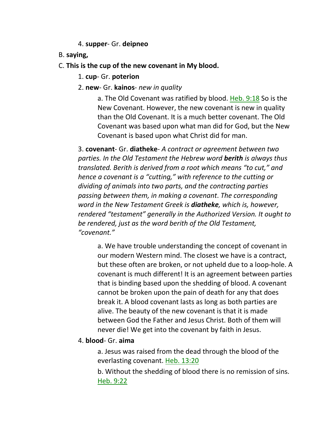4. **supper**- Gr. **deipneo**

- B. **saying,**
- C. **This is the cup of the new covenant in My blood.**
	- 1. **cup** Gr. **poterion**
	- 2. **new** Gr. **kainos** *new in quality*

a. The Old Covenant was ratified by blood. Heb. 9:18 So is the New Covenant. However, the new covenant is new in quality than the Old Covenant. It is a much better covenant. The Old Covenant was based upon what man did for God, but the New Covenant is based upon what Christ did for man.

3. **covenant**- Gr. **diatheke**- *A contract or agreement between two parties. In the Old Testament the Hebrew word berith is always thus translated. Berith is derived from a root which means "to cut," and hence a covenant is a "cutting," with reference to the cutting or dividing of animals into two parts, and the contracting parties passing between them, in making a covenant*. *The corresponding word in the New Testament Greek is diatheke, which is, however, rendered "testament" generally in the Authorized Version. It ought to be rendered, just as the word berith of the Old Testament, "covenant."*

a. We have trouble understanding the concept of covenant in our modern Western mind. The closest we have is a contract, but these often are broken, or not upheld due to a loop-hole. A covenant is much different! It is an agreement between parties that is binding based upon the shedding of blood. A covenant cannot be broken upon the pain of death for any that does break it. A blood covenant lasts as long as both parties are alive. The beauty of the new covenant is that it is made between God the Father and Jesus Christ. Both of them will never die! We get into the covenant by faith in Jesus.

# 4. **blood**- Gr. **aima**

a. Jesus was raised from the dead through the blood of the everlasting covenant. Heb. 13:20

b. Without the shedding of blood there is no remission of sins. Heb. 9:22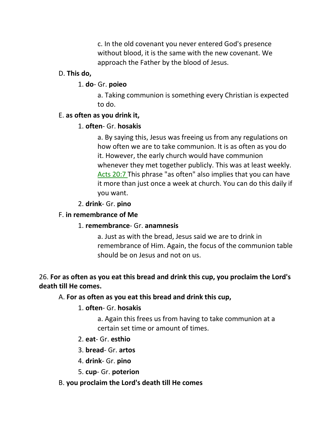c. In the old covenant you never entered God's presence without blood, it is the same with the new covenant. We approach the Father by the blood of Jesus.

#### D. **This do,**

#### 1. **do**- Gr. **poieo**

a. Taking communion is something every Christian is expected to do.

#### E. **as often as you drink it,**

#### 1. **often**- Gr. **hosakis**

a. By saying this, Jesus was freeing us from any regulations on how often we are to take communion. It is as often as you do it. However, the early church would have communion whenever they met together publicly. This was at least weekly. Acts 20:7 This phrase "as often" also implies that you can have it more than just once a week at church. You can do this daily if you want.

2. **drink**- Gr. **pino**

#### F. **in remembrance of Me**

# 1. **remembrance**- Gr. **anamnesis**

a. Just as with the bread, Jesus said we are to drink in remembrance of Him. Again, the focus of the communion table should be on Jesus and not on us.

# 26. **For as often as you eat this bread and drink this cup, you proclaim the Lord's death till He comes.**

# A. **For as often as you eat this bread and drink this cup,**

# 1. **often**- Gr. **hosakis**

a. Again this frees us from having to take communion at a certain set time or amount of times.

- 2. **eat** Gr. **esthio**
- 3. **bread** Gr. **artos**
- 4. **drink** Gr. **pino**
- 5. **cup** Gr. **poterion**

# B. **you proclaim the Lord's death till He comes**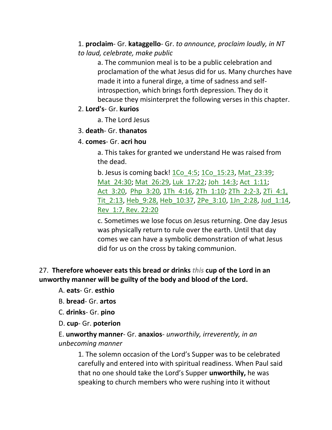1. **proclaim**- Gr. **kataggello**- Gr. *to announce, proclaim loudly, in NT to laud, celebrate, make public*

a. The communion meal is to be a public celebration and proclamation of the what Jesus did for us. Many churches have made it into a funeral dirge, a time of sadness and selfintrospection, which brings forth depression. They do it because they misinterpret the following verses in this chapter.

# 2. **Lord's**- Gr. **kurios**

a. The Lord Jesus

#### 3. **death**- Gr. **thanatos**

# 4. **comes**- Gr. **acri hou**

a. This takes for granted we understand He was raised from the dead.

b. Jesus is coming back! 1Co\_4:5; 1Co\_15:23, Mat\_23:39; Mat\_24:30; Mat\_26:29, Luk\_17:22; Joh\_14:3; Act\_1:11; Act 3:20, Php 3:20, 1Th 4:16, 2Th 1:10; 2Th 2:2-3, 2Ti 4:1, Tit\_2:13, Heb\_9:28, Heb\_10:37, 2Pe\_3:10, 1Jn\_2:28, Jud\_1:14, Rev\_1:7, Rev. 22:20

c. Sometimes we lose focus on Jesus returning. One day Jesus was physically return to rule over the earth. Until that day comes we can have a symbolic demonstration of what Jesus did for us on the cross by taking communion.

# 27. **Therefore whoever eats this bread or drinks** *this* **cup of the Lord in an unworthy manner will be guilty of the body and blood of the Lord.**

A. **eats**- Gr. **esthio**

- B. **bread** Gr. **artos**
- C. **drinks** Gr. **pino**
- D. **cup** Gr. **poterion**

E. **unworthy manner**- Gr. **anaxios**- *unworthily, irreverently, in an unbecoming manner*

1. The solemn occasion of the Lord's Supper was to be celebrated carefully and entered into with spiritual readiness. When Paul said that no one should take the Lord's Supper **unworthily,** he was speaking to church members who were rushing into it without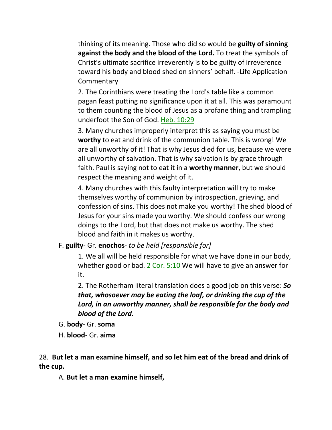thinking of its meaning. Those who did so would be **guilty of sinning against the body and the blood of the Lord.** To treat the symbols of Christ's ultimate sacrifice irreverently is to be guilty of irreverence toward his body and blood shed on sinners' behalf. -Life Application **Commentary** 

2. The Corinthians were treating the Lord's table like a common pagan feast putting no significance upon it at all. This was paramount to them counting the blood of Jesus as a profane thing and trampling underfoot the Son of God. Heb. 10:29

3. Many churches improperly interpret this as saying you must be **worthy** to eat and drink of the communion table. This is wrong! We are all unworthy of it! That is why Jesus died for us, because we were all unworthy of salvation. That is why salvation is by grace through faith. Paul is saying not to eat it in a **worthy manner**, but we should respect the meaning and weight of it.

4. Many churches with this faulty interpretation will try to make themselves worthy of communion by introspection, grieving, and confession of sins. This does not make you worthy! The shed blood of Jesus for your sins made you worthy. We should confess our wrong doings to the Lord, but that does not make us worthy. The shed blood and faith in it makes us worthy.

F. **guilty**- Gr. **enochos**- *to be held [responsible for]*

1. We all will be held responsible for what we have done in our body, whether good or bad. 2 Cor. 5:10 We will have to give an answer for it.

2. The Rotherham literal translation does a good job on this verse: *So that, whosoever may be eating the loaf, or drinking the cup of the Lord, in an unworthy manner, shall be responsible for the body and blood of the Lord.* 

- G. **body** Gr. **soma**
- H. **blood** Gr. **aima**

28. **But let a man examine himself, and so let him eat of the bread and drink of the cup.** 

A. **But let a man examine himself,**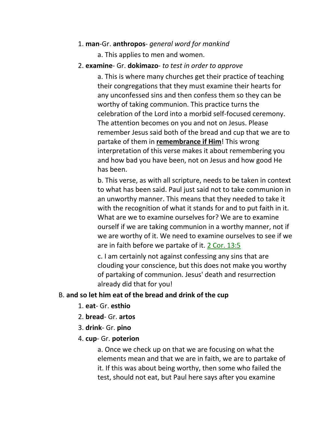### 1. **man**-Gr. **anthropos**- *general word for mankind*

a. This applies to men and women.

### 2. **examine**- Gr. **dokimazo**- *to test in order to approve*

a. This is where many churches get their practice of teaching their congregations that they must examine their hearts for any unconfessed sins and then confess them so they can be worthy of taking communion. This practice turns the celebration of the Lord into a morbid self-focused ceremony. The attention becomes on you and not on Jesus. Please remember Jesus said both of the bread and cup that we are to partake of them in **remembrance if Him**! This wrong interpretation of this verse makes it about remembering you and how bad you have been, not on Jesus and how good He has been.

b. This verse, as with all scripture, needs to be taken in context to what has been said. Paul just said not to take communion in an unworthy manner. This means that they needed to take it with the recognition of what it stands for and to put faith in it. What are we to examine ourselves for? We are to examine ourself if we are taking communion in a worthy manner, not if we are worthy of it. We need to examine ourselves to see if we are in faith before we partake of it. 2 Cor. 13:5

c. I am certainly not against confessing any sins that are clouding your conscience, but this does not make you worthy of partaking of communion. Jesus' death and resurrection already did that for you!

# B. **and so let him eat of the bread and drink of the cup**

- 1. **eat** Gr. **esthio**
- 2. **bread** Gr. **artos**
- 3. **drink** Gr. **pino**
- 4. **cup** Gr. **poterion**

a. Once we check up on that we are focusing on what the elements mean and that we are in faith, we are to partake of it. If this was about being worthy, then some who failed the test, should not eat, but Paul here says after you examine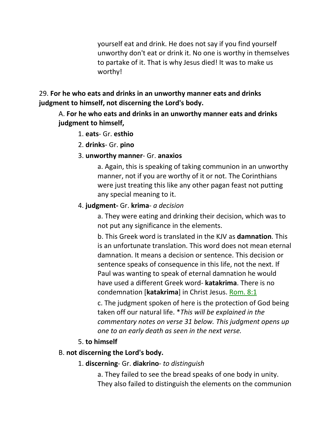yourself eat and drink. He does not say if you find yourself unworthy don't eat or drink it. No one is worthy in themselves to partake of it. That is why Jesus died! It was to make us worthy!

# 29. **For he who eats and drinks in an unworthy manner eats and drinks judgment to himself, not discerning the Lord's body.**

A. **For he who eats and drinks in an unworthy manner eats and drinks judgment to himself,**

- 1. **eats** Gr. **esthio**
- 2. **drinks** Gr. **pino**
- 3. **unworthy manner** Gr. **anaxios**

a. Again, this is speaking of taking communion in an unworthy manner, not if you are worthy of it or not. The Corinthians were just treating this like any other pagan feast not putting any special meaning to it.

#### 4. **judgment-** Gr. **krima**- *a decision*

a. They were eating and drinking their decision, which was to not put any significance in the elements.

b. This Greek word is translated in the KJV as **damnation**. This is an unfortunate translation. This word does not mean eternal damnation. It means a decision or sentence. This decision or sentence speaks of consequence in this life, not the next. If Paul was wanting to speak of eternal damnation he would have used a different Greek word- **katakrima**. There is no condemnation [**katakrima**] in Christ Jesus. Rom. 8:1

c. The judgment spoken of here is the protection of God being taken off our natural life. \**This will be explained in the commentary notes on verse 31 below. This judgment opens up one to an early death as seen in the next verse.* 

# 5. **to himself**

#### B. **not discerning the Lord's body.**

#### 1. **discerning**- Gr. **diakrino**- *to distinguish*

a. They failed to see the bread speaks of one body in unity. They also failed to distinguish the elements on the communion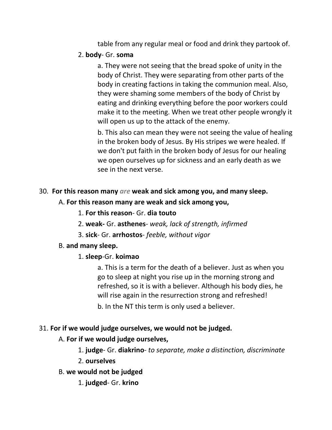table from any regular meal or food and drink they partook of.

# 2. **body**- Gr. **soma**

a. They were not seeing that the bread spoke of unity in the body of Christ. They were separating from other parts of the body in creating factions in taking the communion meal. Also, they were shaming some members of the body of Christ by eating and drinking everything before the poor workers could make it to the meeting. When we treat other people wrongly it will open us up to the attack of the enemy.

b. This also can mean they were not seeing the value of healing in the broken body of Jesus. By His stripes we were healed. If we don't put faith in the broken body of Jesus for our healing we open ourselves up for sickness and an early death as we see in the next verse.

# 30. **For this reason many** *are* **weak and sick among you, and many sleep.**

# A. **For this reason many are weak and sick among you,**

- 1. **For this reason** Gr. **dia touto**
- 2. **weak-** Gr. **asthenes** *weak, lack of strength, infirmed*
- 3. **sick** Gr. **arrhostos** *feeble, without vigor*

# B. **and many sleep.**

# 1. **sleep**-Gr. **koimao**

a. This is a term for the death of a believer. Just as when you go to sleep at night you rise up in the morning strong and refreshed, so it is with a believer. Although his body dies, he will rise again in the resurrection strong and refreshed!

b. In the NT this term is only used a believer.

# 31. **For if we would judge ourselves, we would not be judged.**

# A. **For if we would judge ourselves,**

1. **judge**- Gr. **diakrino**- *to separate, make a distinction, discriminate*

2. **ourselves**

- B. **we would not be judged**
	- 1. **judged** Gr. **krino**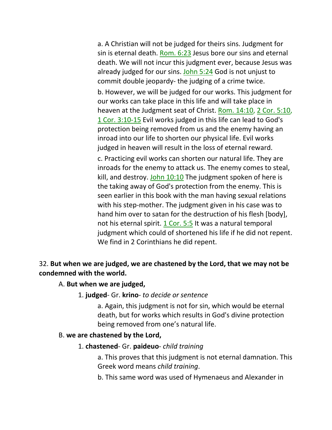a. A Christian will not be judged for theirs sins. Judgment for sin is eternal death. Rom. 6:23 Jesus bore our sins and eternal death. We will not incur this judgment ever, because Jesus was already judged for our sins. John 5:24 God is not unjust to commit double jeopardy- the judging of a crime twice. b. However, we will be judged for our works. This judgment for our works can take place in this life and will take place in heaven at the Judgment seat of Christ. Rom. 14:10, 2 Cor. 5:10, 1 Cor. 3:10-15 Evil works judged in this life can lead to God's protection being removed from us and the enemy having an inroad into our life to shorten our physical life. Evil works judged in heaven will result in the loss of eternal reward.

c. Practicing evil works can shorten our natural life. They are inroads for the enemy to attack us. The enemy comes to steal, kill, and destroy. John 10:10 The judgment spoken of here is the taking away of God's protection from the enemy. This is seen earlier in this book with the man having sexual relations with his step-mother. The judgment given in his case was to hand him over to satan for the destruction of his flesh [body], not his eternal spirit.  $1 \text{ Cor. } 5:5$  It was a natural temporal judgment which could of shortened his life if he did not repent. We find in 2 Corinthians he did repent.

# 32. **But when we are judged, we are chastened by the Lord, that we may not be condemned with the world.**

# A. **But when we are judged,**

# 1. **judged**- Gr. **krino**- *to decide or sentence*

a. Again, this judgment is not for sin, which would be eternal death, but for works which results in God's divine protection being removed from one's natural life.

# B. **we are chastened by the Lord,**

# 1. **chastened**- Gr. **paideuo**- *child training*

a. This proves that this judgment is not eternal damnation. This Greek word means *child training*.

b. This same word was used of Hymenaeus and Alexander in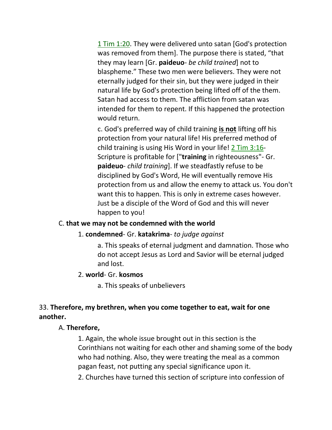1 Tim 1:20. They were delivered unto satan [God's protection was removed from them]. The purpose there is stated, "that they may learn [Gr. **paideuo**- *be child trained*] not to blaspheme." These two men were believers. They were not eternally judged for their sin, but they were judged in their natural life by God's protection being lifted off of the them. Satan had access to them. The affliction from satan was intended for them to repent. If this happened the protection would return.

c. God's preferred way of child training **is not** lifting off his protection from your natural life! His preferred method of child training is using His Word in your life! 2 Tim 3:16- Scripture is profitable for ["**training** in righteousness"- Gr. **paideuo**- *child training*]. If we steadfastly refuse to be disciplined by God's Word, He will eventually remove His protection from us and allow the enemy to attack us. You don't want this to happen. This is only in extreme cases however. Just be a disciple of the Word of God and this will never happen to you!

# C. **that we may not be condemned with the world**

# 1. **condemned**- Gr. **katakrima**- *to judge against*

a. This speaks of eternal judgment and damnation. Those who do not accept Jesus as Lord and Savior will be eternal judged and lost.

#### 2. **world**- Gr. **kosmos**

a. This speaks of unbelievers

# 33. **Therefore, my brethren, when you come together to eat, wait for one another.**

# A. **Therefore,**

1. Again, the whole issue brought out in this section is the Corinthians not waiting for each other and shaming some of the body who had nothing. Also, they were treating the meal as a common pagan feast, not putting any special significance upon it.

2. Churches have turned this section of scripture into confession of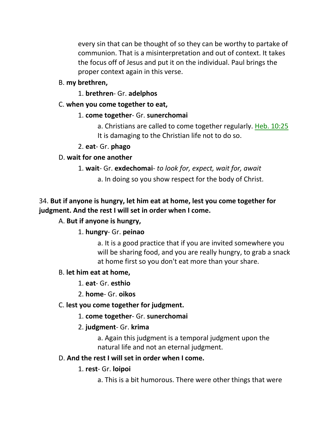every sin that can be thought of so they can be worthy to partake of communion. That is a misinterpretation and out of context. It takes the focus off of Jesus and put it on the individual. Paul brings the proper context again in this verse.

B. **my brethren,**

1. **brethren**- Gr. **adelphos**

### C. **when you come together to eat,**

#### 1. **come together**- Gr. **sunerchomai**

a. Christians are called to come together regularly. Heb. 10:25 It is damaging to the Christian life not to do so.

#### 2. **eat**- Gr. **phago**

# D. **wait for one another**

#### 1. **wait**- Gr. **exdechomai**- *to look for, expect, wait for, await*

a. In doing so you show respect for the body of Christ.

# 34. **But if anyone is hungry, let him eat at home, lest you come together for judgment. And the rest I will set in order when I come.**

# A. **But if anyone is hungry,**

# 1. **hungry**- Gr. **peinao**

a. It is a good practice that if you are invited somewhere you will be sharing food, and you are really hungry, to grab a snack at home first so you don't eat more than your share.

# B. **let him eat at home,**

#### 1. **eat**- Gr. **esthio**

2. **home**- Gr. **oikos**

# C. **lest you come together for judgment.**

# 1. **come together**- Gr. **sunerchomai**

# 2. **judgment**- Gr. **krima**

a. Again this judgment is a temporal judgment upon the natural life and not an eternal judgment.

#### D. **And the rest I will set in order when I come.**

# 1. **rest**- Gr. **loipoi**

a. This is a bit humorous. There were other things that were